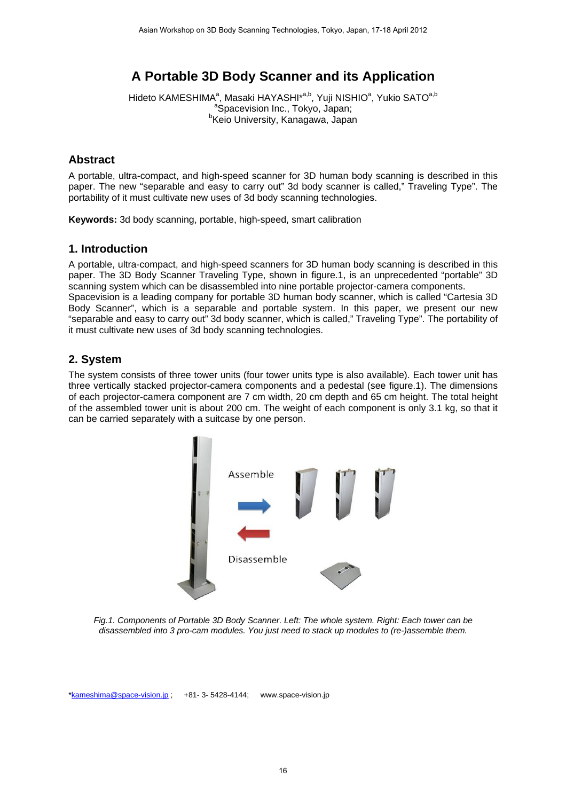# **A Portable 3D Body Scanner and its Application**

Hideto KAMESHIMA<sup>a</sup>, Masaki HAYASHI\*<sup>a,b</sup>, Yuji NISHIO<sup>a</sup>, Yukio SATO<sup>a,b</sup> <sup>a</sup>Spacevision Inc., Tokyo, Japan;<br><sup>b</sup>Kejo University Kanagewe, Japan <sup>b</sup>Keio University, Kanagawa, Japan

## **Abstract**

A portable, ultra-compact, and high-speed scanner for 3D human body scanning is described in this paper. The new "separable and easy to carry out" 3d body scanner is called," Traveling Type". The portability of it must cultivate new uses of 3d body scanning technologies.

**Keywords:** 3d body scanning, portable, high-speed, smart calibration

## **1. Introduction**

A portable, ultra-compact, and high-speed scanners for 3D human body scanning is described in this paper. The 3D Body Scanner Traveling Type, shown in figure.1, is an unprecedented "portable" 3D scanning system which can be disassembled into nine portable projector-camera components. Spacevision is a leading company for portable 3D human body scanner, which is called "Cartesia 3D

Body Scanner", which is a separable and portable system. In this paper, we present our new "separable and easy to carry out" 3d body scanner, which is called," Traveling Type". The portability of it must cultivate new uses of 3d body scanning technologies.

## **2. System**

The system consists of three tower units (four tower units type is also available). Each tower unit has three vertically stacked projector-camera components and a pedestal (see figure.1). The dimensions of each projector-camera component are 7 cm width, 20 cm depth and 65 cm height. The total height of the assembled tower unit is about 200 cm. The weight of each component is only 3.1 kg, so that it can be carried separately with a suitcase by one person.



*Fig.1. Components of Portable 3D Body Scanner. Left: The whole system. Right: Each tower can be disassembled into 3 pro-cam modules. You just need to stack up modules to (re-)assemble them.* 

\*kameshima@space-vision.jp ; +81- 3- 5428-4144; www.space-vision.jp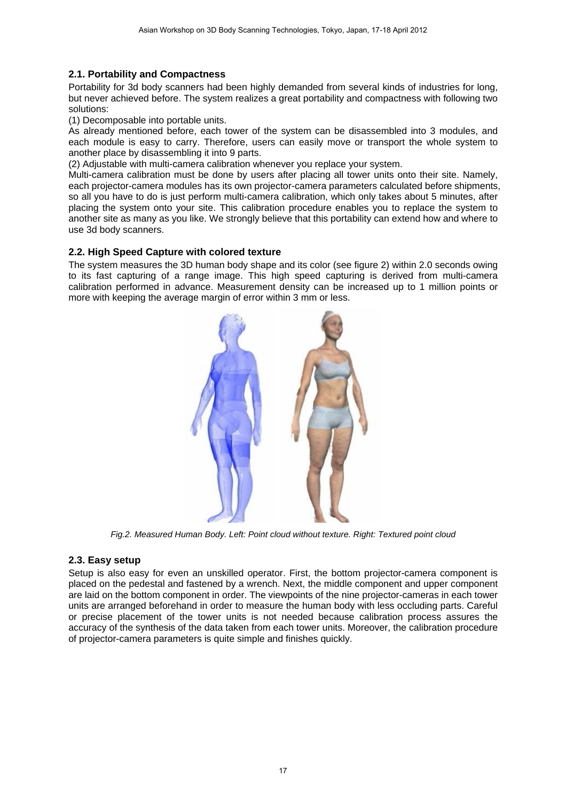#### **2.1. Portability and Compactness**

Portability for 3d body scanners had been highly demanded from several kinds of industries for long, but never achieved before. The system realizes a great portability and compactness with following two solutions:

(1) Decomposable into portable units.

As already mentioned before, each tower of the system can be disassembled into 3 modules, and each module is easy to carry. Therefore, users can easily move or transport the whole system to another place by disassembling it into 9 parts.

(2) Adjustable with multi-camera calibration whenever you replace your system.

Multi-camera calibration must be done by users after placing all tower units onto their site. Namely, each projector-camera modules has its own projector-camera parameters calculated before shipments, so all you have to do is just perform multi-camera calibration, which only takes about 5 minutes, after placing the system onto your site. This calibration procedure enables you to replace the system to another site as many as you like. We strongly believe that this portability can extend how and where to use 3d body scanners.

#### **2.2. High Speed Capture with colored texture**

The system measures the 3D human body shape and its color (see figure 2) within 2.0 seconds owing to its fast capturing of a range image. This high speed capturing is derived from multi-camera calibration performed in advance. Measurement density can be increased up to 1 million points or more with keeping the average margin of error within 3 mm or less.



*Fig.2. Measured Human Body. Left: Point cloud without texture. Right: Textured point cloud* 

#### **2.3. Easy setup**

Setup is also easy for even an unskilled operator. First, the bottom projector-camera component is placed on the pedestal and fastened by a wrench. Next, the middle component and upper component are laid on the bottom component in order. The viewpoints of the nine projector-cameras in each tower units are arranged beforehand in order to measure the human body with less occluding parts. Careful or precise placement of the tower units is not needed because calibration process assures the accuracy of the synthesis of the data taken from each tower units. Moreover, the calibration procedure of projector-camera parameters is quite simple and finishes quickly.